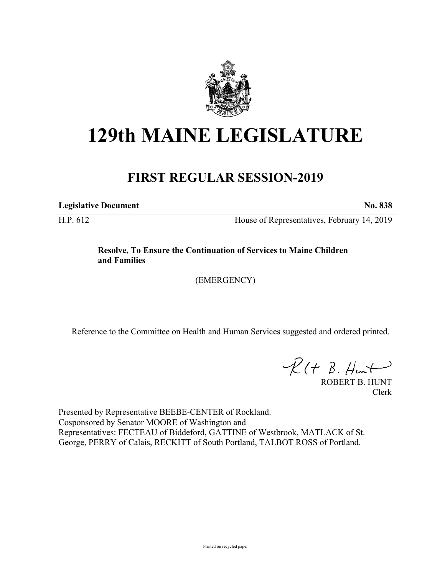

## **129th MAINE LEGISLATURE**

## **FIRST REGULAR SESSION-2019**

**Legislative Document No. 838**

H.P. 612 House of Representatives, February 14, 2019

**Resolve, To Ensure the Continuation of Services to Maine Children and Families**

(EMERGENCY)

Reference to the Committee on Health and Human Services suggested and ordered printed.

 $R(H B. H<sub>un</sub>+)$ 

ROBERT B. HUNT Clerk

Presented by Representative BEEBE-CENTER of Rockland. Cosponsored by Senator MOORE of Washington and Representatives: FECTEAU of Biddeford, GATTINE of Westbrook, MATLACK of St. George, PERRY of Calais, RECKITT of South Portland, TALBOT ROSS of Portland.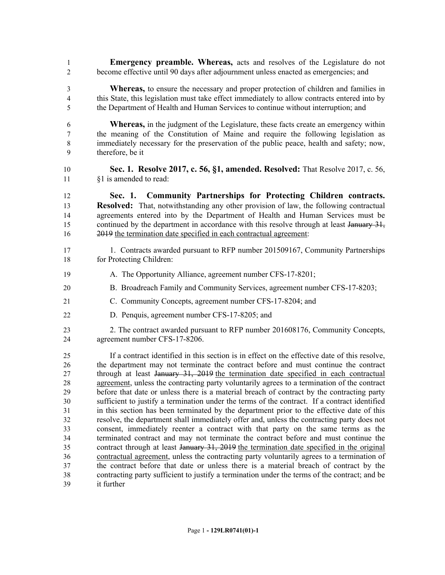- **Emergency preamble. Whereas,** acts and resolves of the Legislature do not become effective until 90 days after adjournment unless enacted as emergencies; and
- **Whereas,** to ensure the necessary and proper protection of children and families in this State, this legislation must take effect immediately to allow contracts entered into by the Department of Health and Human Services to continue without interruption; and
- **Whereas,** in the judgment of the Legislature, these facts create an emergency within the meaning of the Constitution of Maine and require the following legislation as immediately necessary for the preservation of the public peace, health and safety; now, therefore, be it
- **Sec. 1. Resolve 2017, c. 56, §1, amended. Resolved:** That Resolve 2017, c. 56, §1 is amended to read:
- **Sec. 1. Community Partnerships for Protecting Children contracts. Resolved:** That, notwithstanding any other provision of law, the following contractual agreements entered into by the Department of Health and Human Services must be 15 continued by the department in accordance with this resolve through at least January 31, 2019 the termination date specified in each contractual agreement:
- 17 1. Contracts awarded pursuant to RFP number 201509167, Community Partnerships for Protecting Children:
- A. The Opportunity Alliance, agreement number CFS-17-8201;
- B. Broadreach Family and Community Services, agreement number CFS-17-8203;
- C. Community Concepts, agreement number CFS-17-8204; and
- D. Penquis, agreement number CFS-17-8205; and
- 2. The contract awarded pursuant to RFP number 201608176, Community Concepts, agreement number CFS-17-8206.

 If a contract identified in this section is in effect on the effective date of this resolve, the department may not terminate the contract before and must continue the contract 27 through at least January 31, 2019 the termination date specified in each contractual agreement, unless the contracting party voluntarily agrees to a termination of the contract before that date or unless there is a material breach of contract by the contracting party sufficient to justify a termination under the terms of the contract. If a contract identified in this section has been terminated by the department prior to the effective date of this resolve, the department shall immediately offer and, unless the contracting party does not consent, immediately reenter a contract with that party on the same terms as the terminated contract and may not terminate the contract before and must continue the contract through at least January 31, 2019 the termination date specified in the original contractual agreement, unless the contracting party voluntarily agrees to a termination of the contract before that date or unless there is a material breach of contract by the contracting party sufficient to justify a termination under the terms of the contract; and be it further